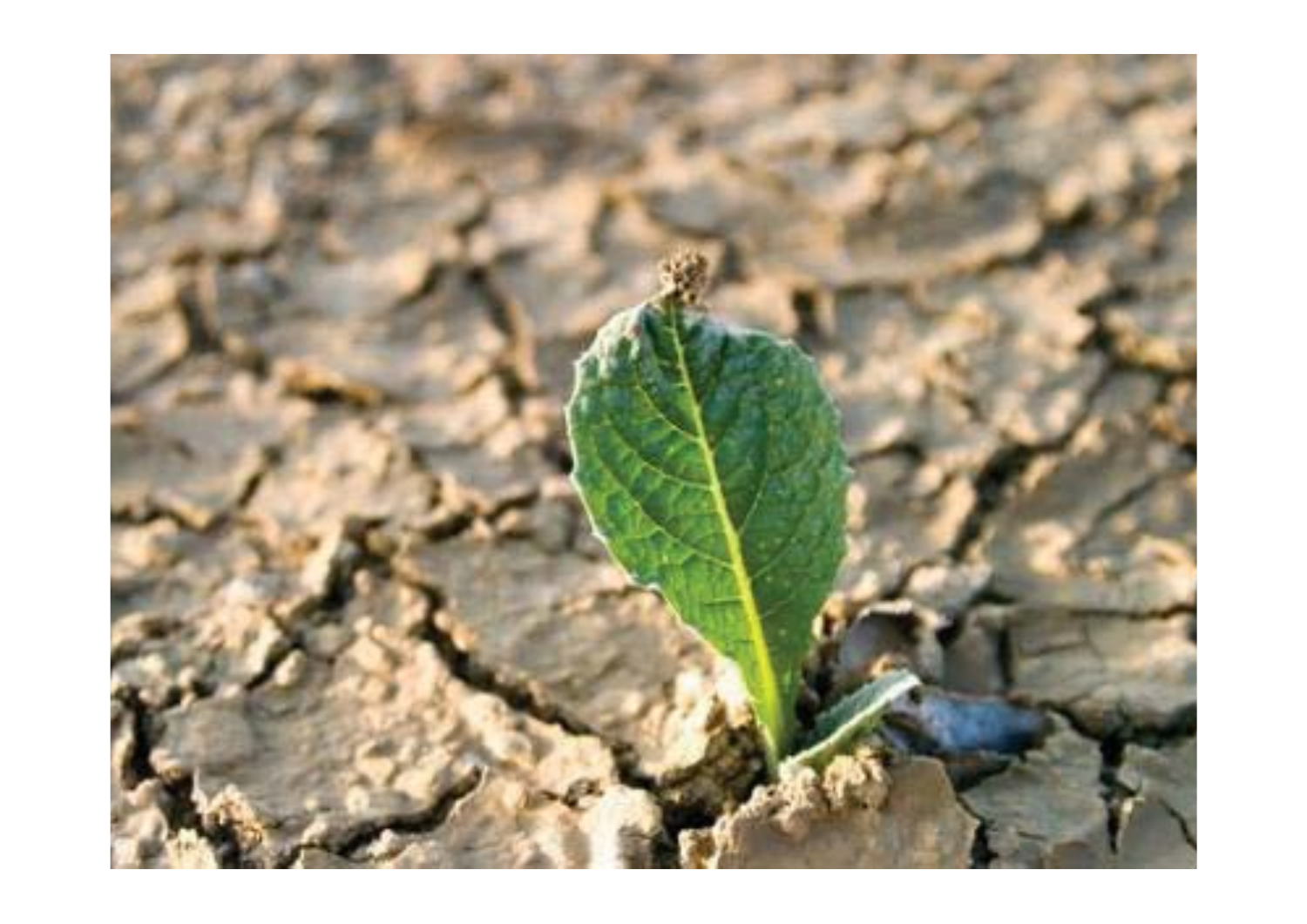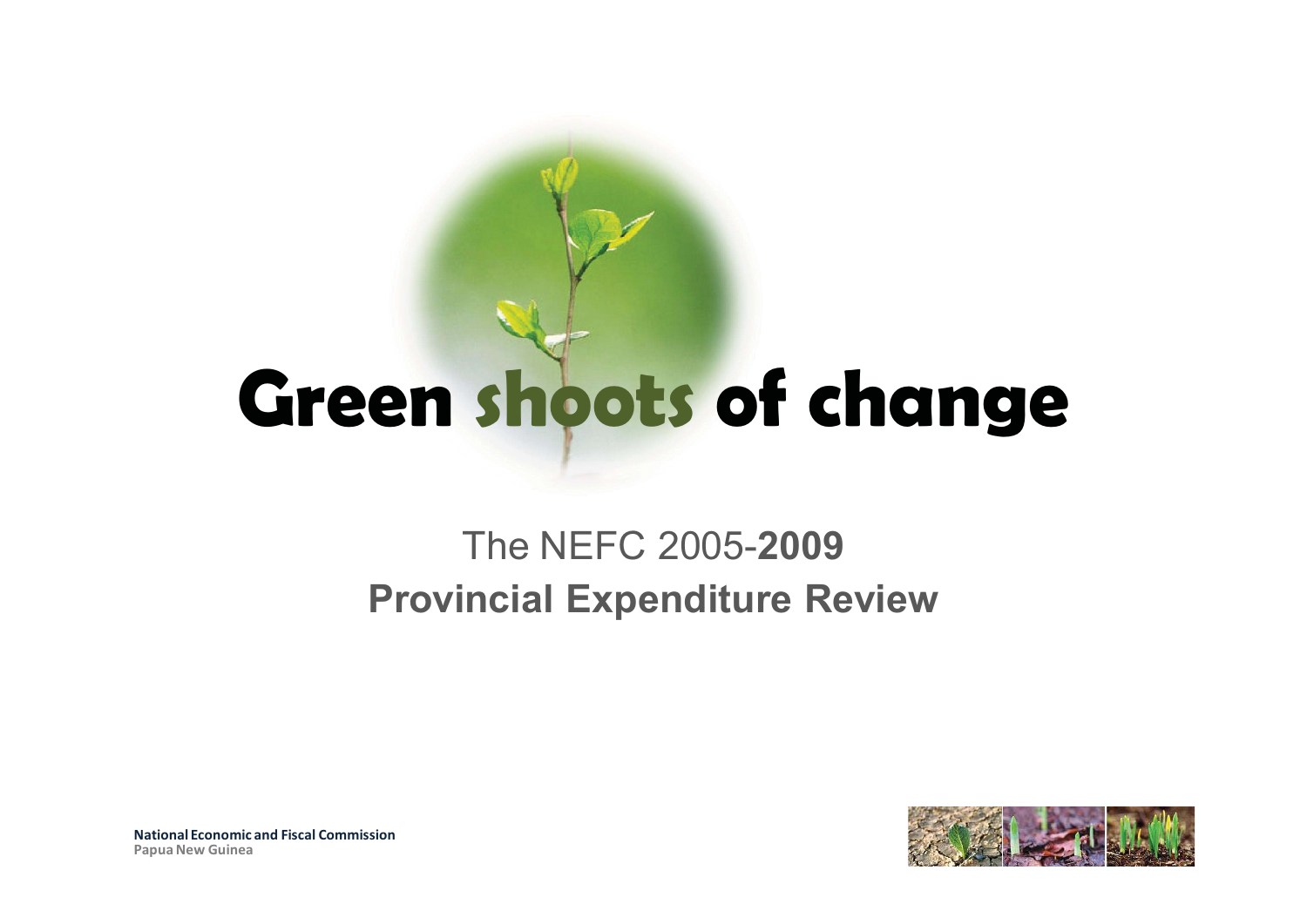# **Green shoots of change**

#### The NEFC 2005-**2009 Provincial Expenditure Review**



**National Economic and Fiscal CommissionPapua New Guinea**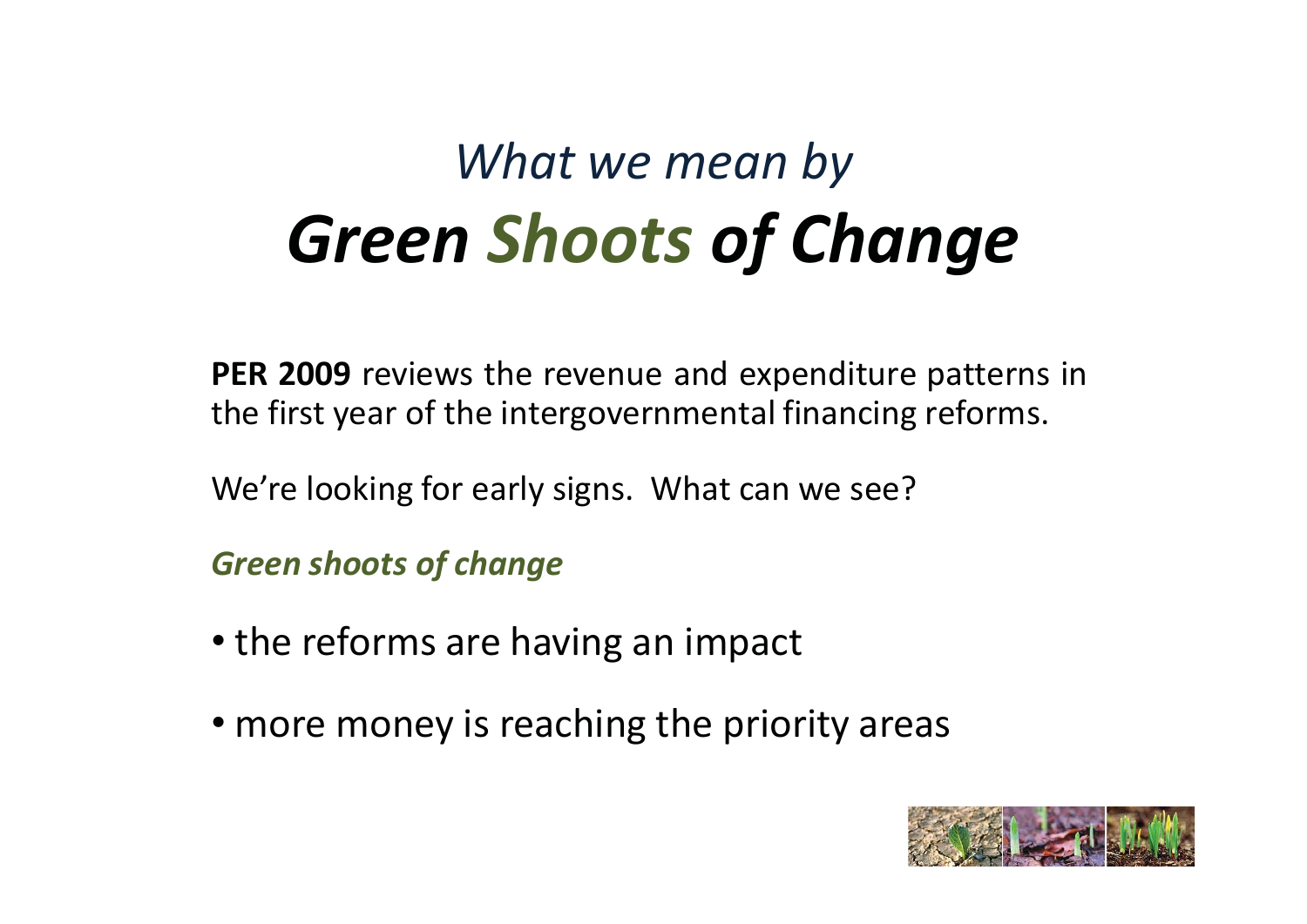# *What we mean by Green Shoots of Change*

**PER 2009** reviews the revenue and expenditure patterns in the first year of the intergovernmental financing reforms.

We're looking for early signs. What can we see?

*Green shoots of change*

- the reforms are having an impact
- more money is reaching the priority areas

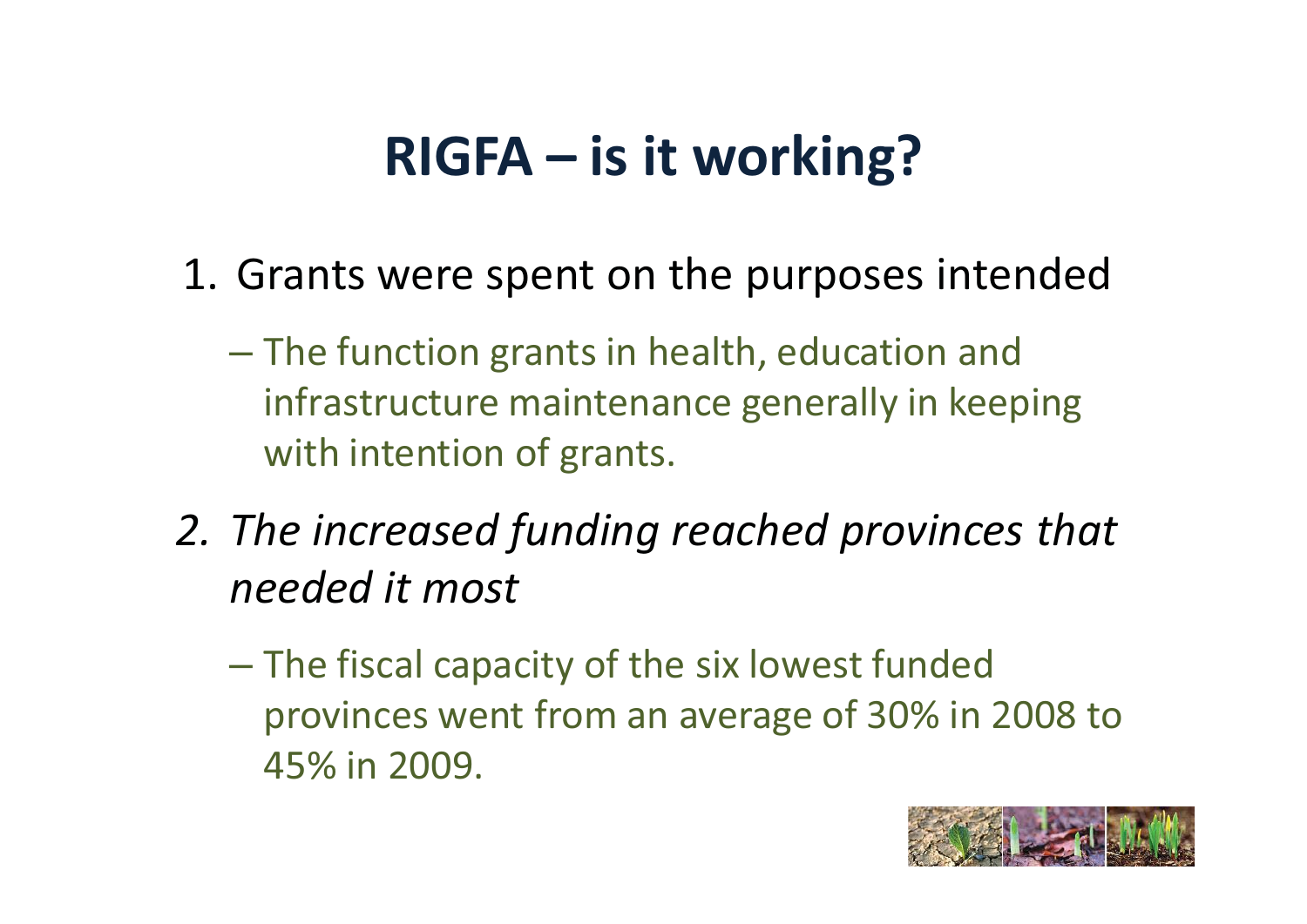### **RIGFA – is it working?**

- 1. Grants were spent on the purposes intended
	- – The function grants in health, education and infrastructure maintenance generally in keeping with intention of grants.
- *2. The increased funding reached provinces that needed it most*
	- – The fiscal capacity of the six lowest funded provinces went from an average of 30% in 2008 to 45% in 2009.

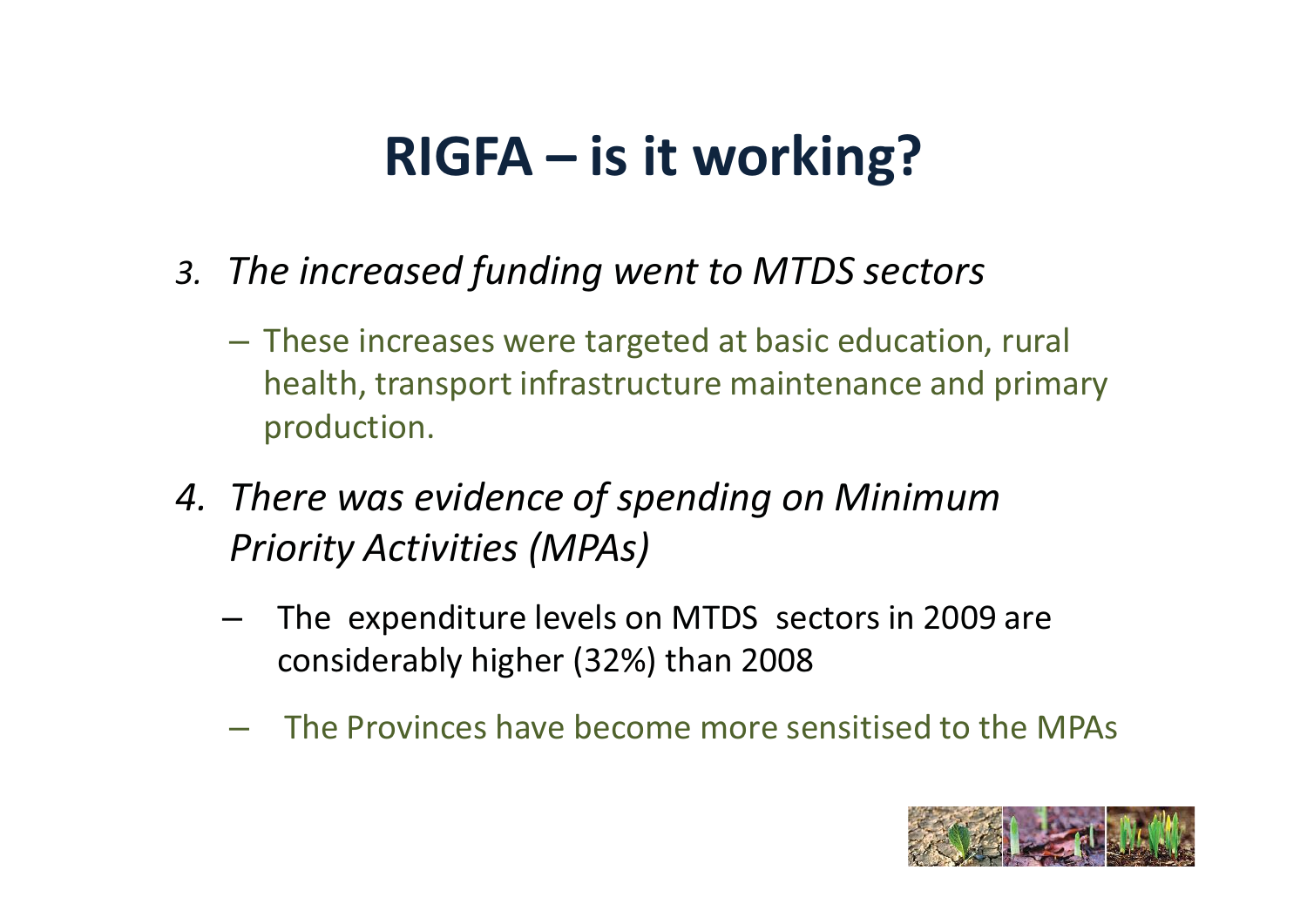### **RIGFA – is it working?**

- *3. The increased funding went to MTDS sectors*
	- These increases were targeted at basic education, rural health, transport infrastructure maintenance and primary production.
- *4. There was evidence of spending on Minimum Priority Activities (MPAs)*
	- The expenditure levels on MTDS sectors in 2009 are considerably higher (32%) than 2008
	- The Provinces have become more sensitised to the MPAs

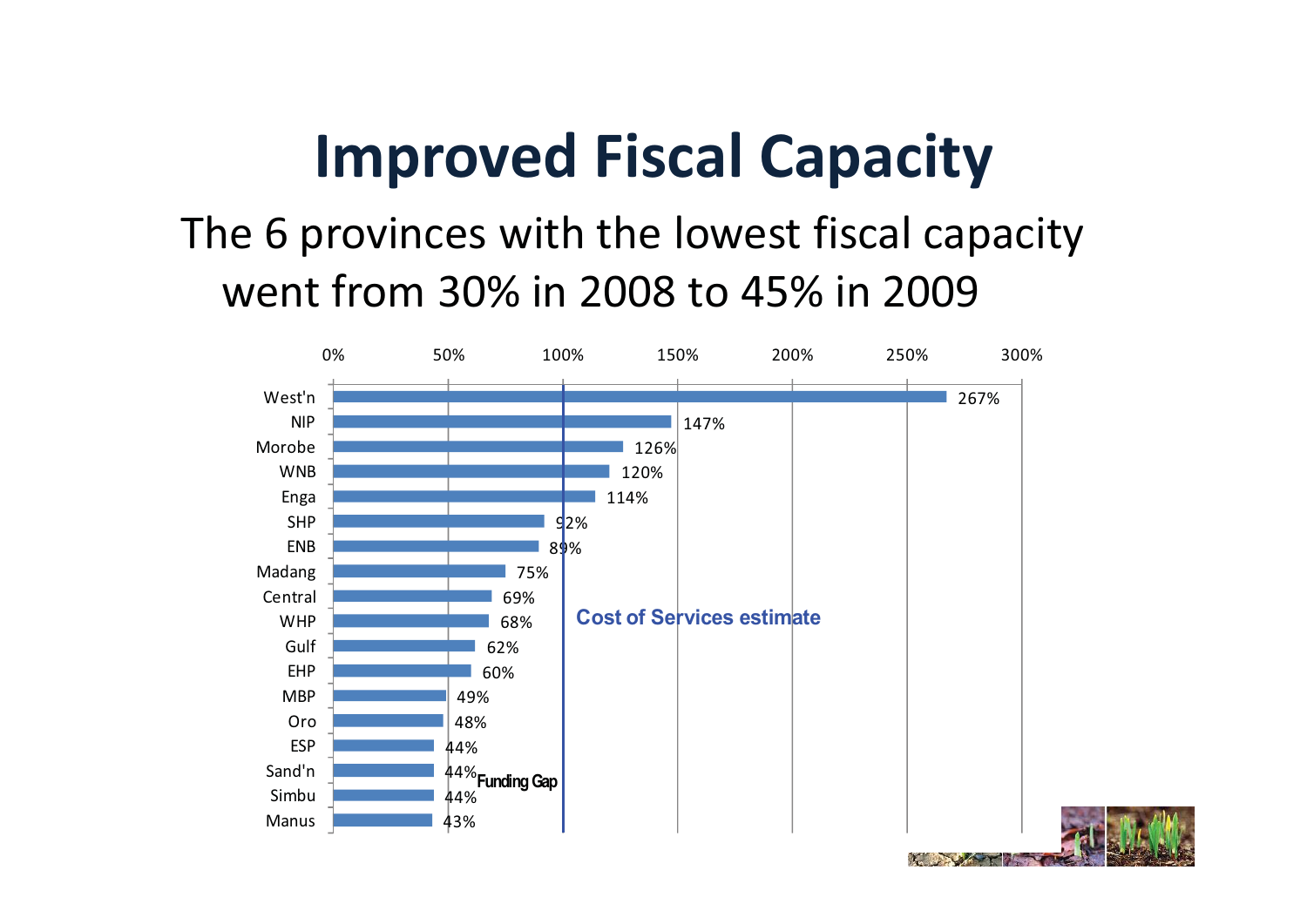### **Improved Fiscal Capacity**

### The 6 provinces with the lowest fiscal capacity went from 30% in 2008 to 45% in 2009

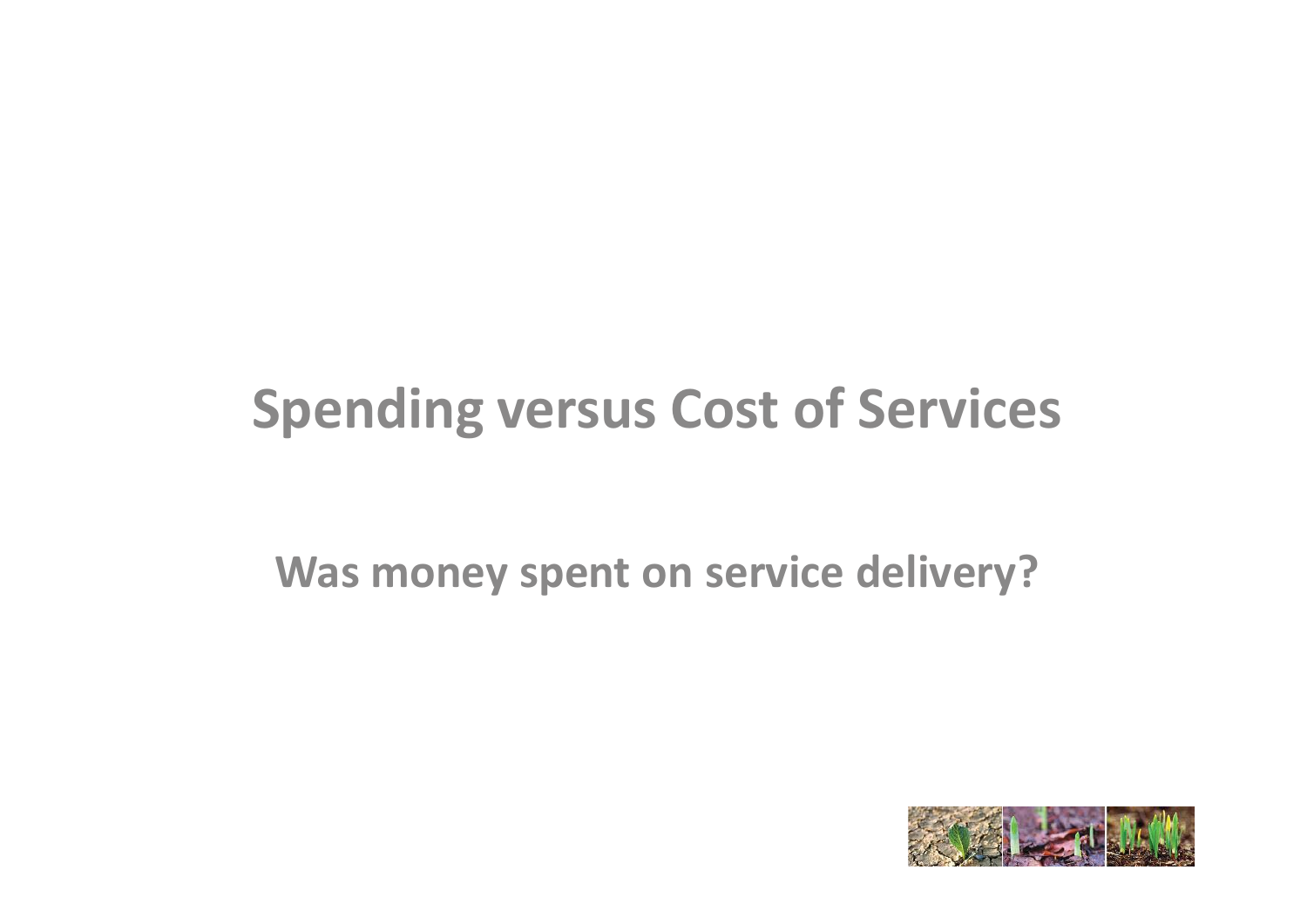### **Spending versus Cost of Services**

### **Was money spent on service delivery?**

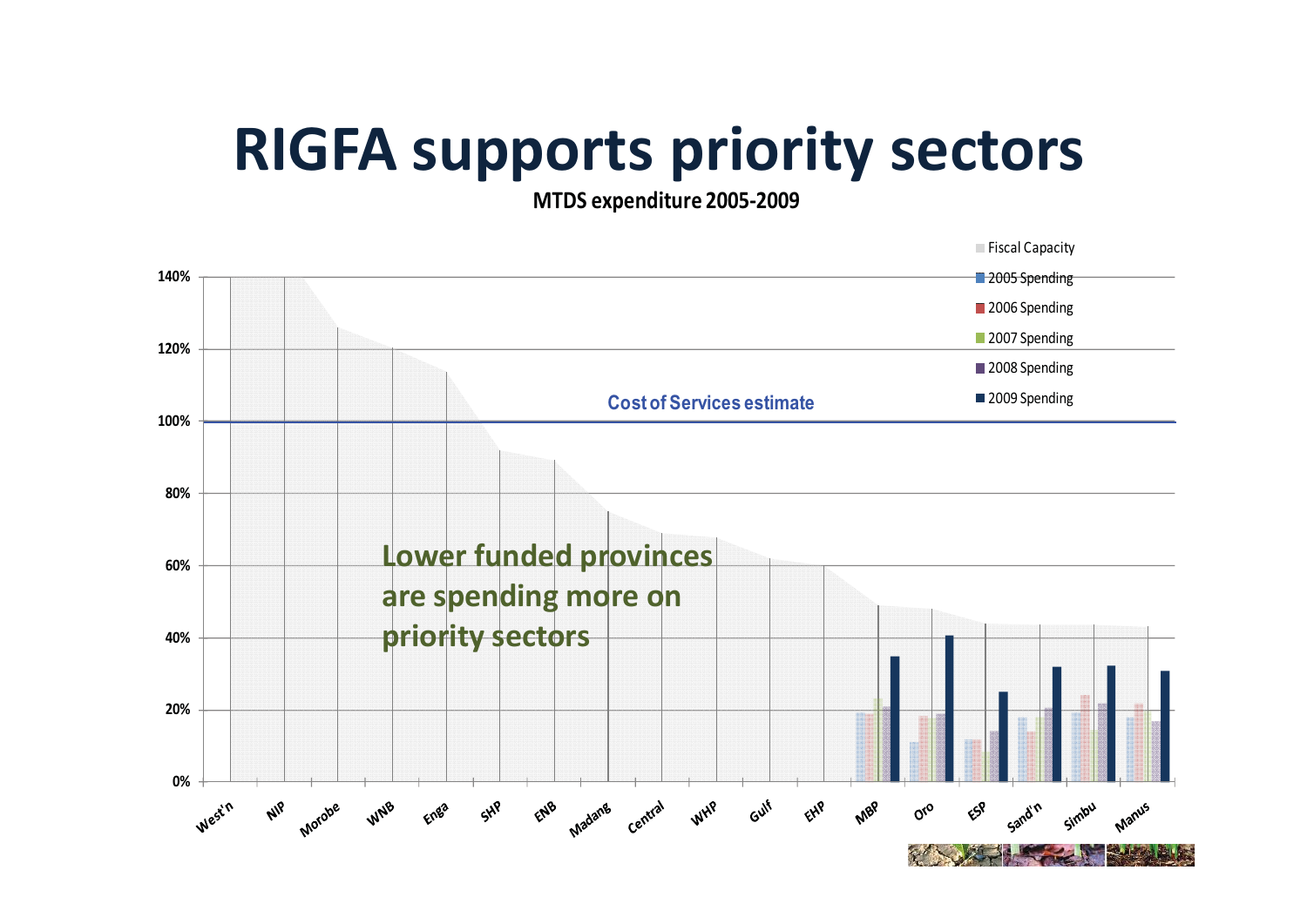### **RIGFA supports priority sectors**

**MTDS expenditure 2005-2009**

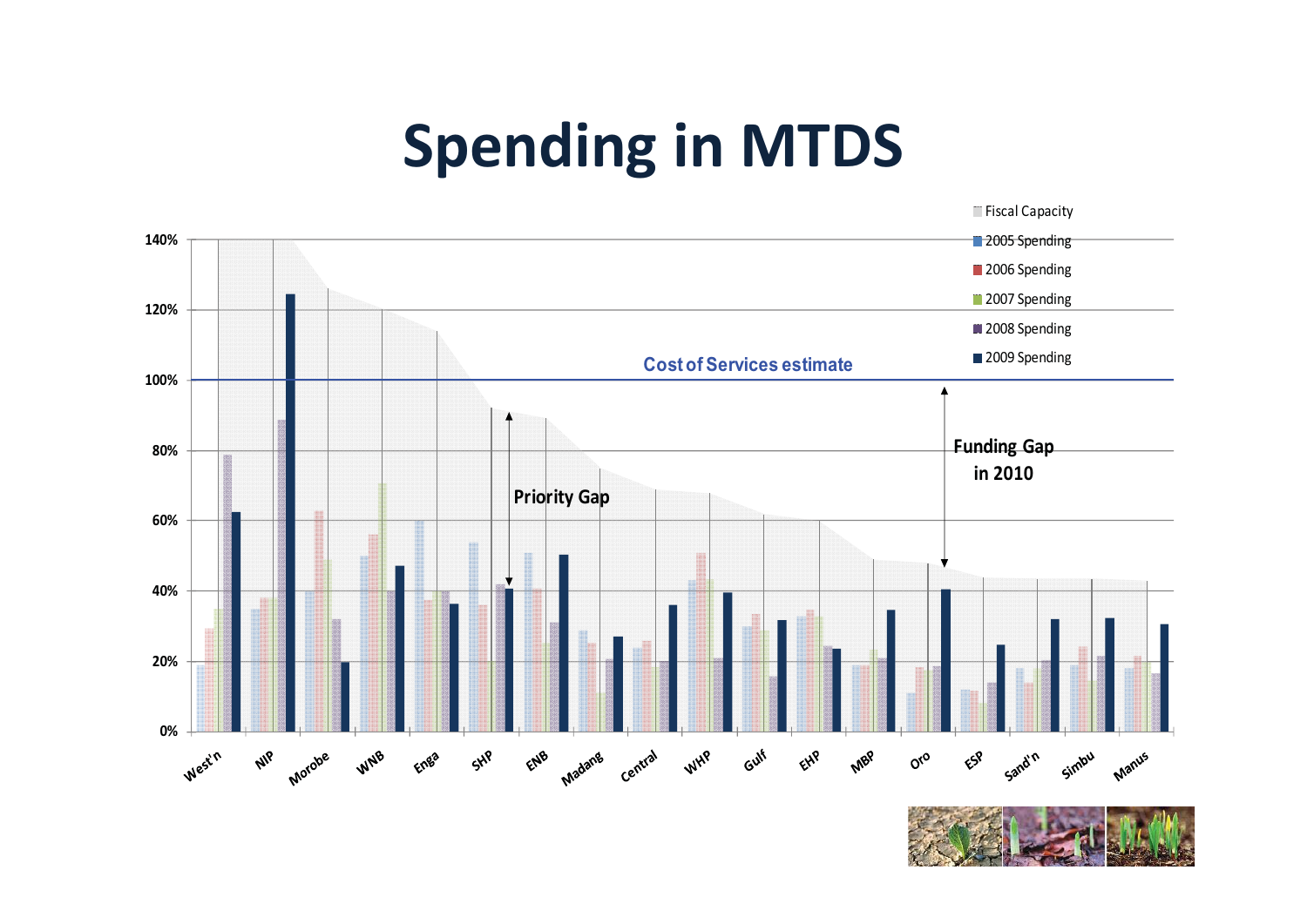### **Spending in MTDS**



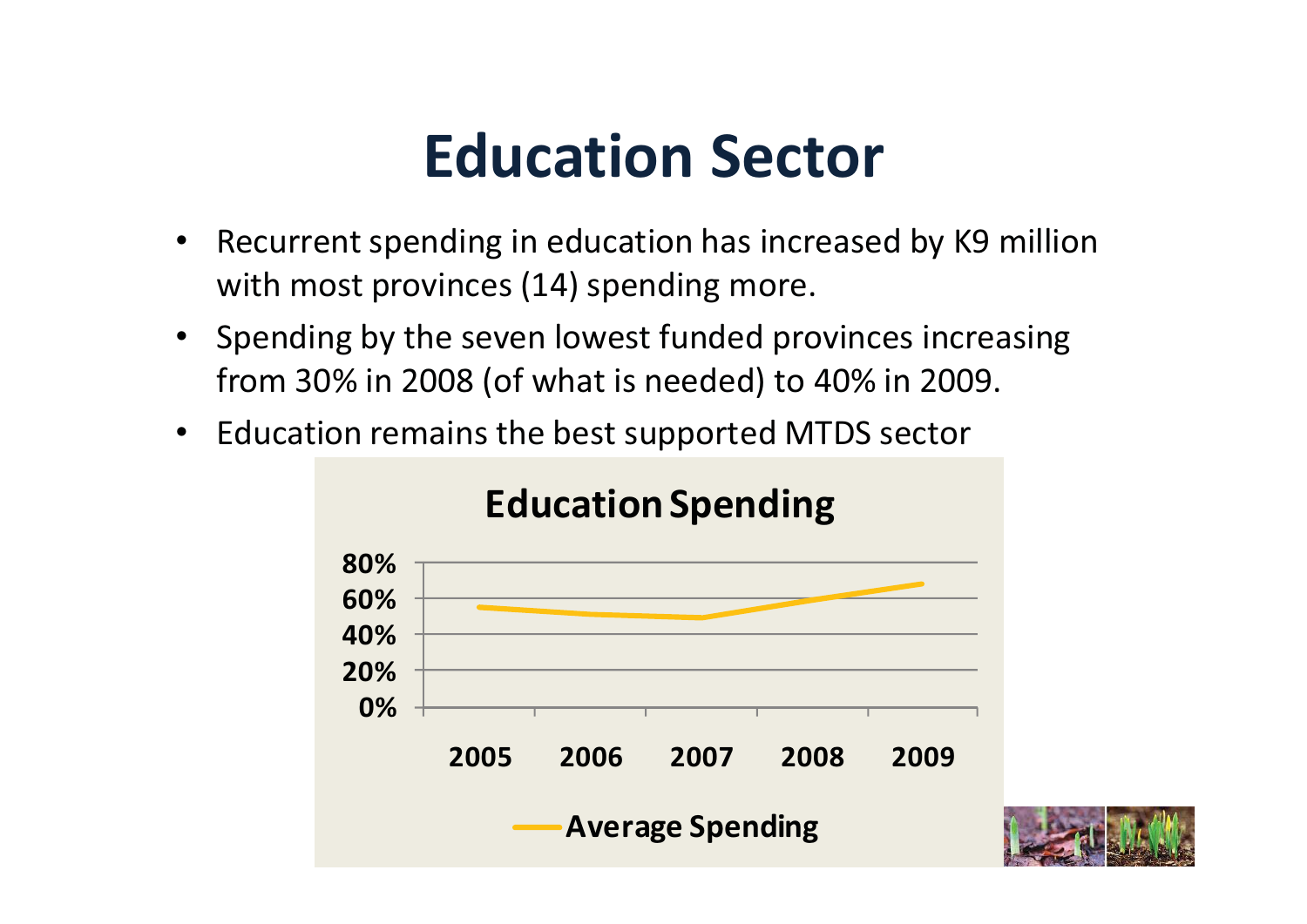### **Education Sector**

- • Recurrent spending in education has increased by K9 million with most provinces (14) spending more.
- • Spending by the seven lowest funded provinces increasing from 30% in 2008 (of what is needed) to 40% in 2009.
- $\bullet$ Education remains the best supported MTDS sector



#### **Education Spending**

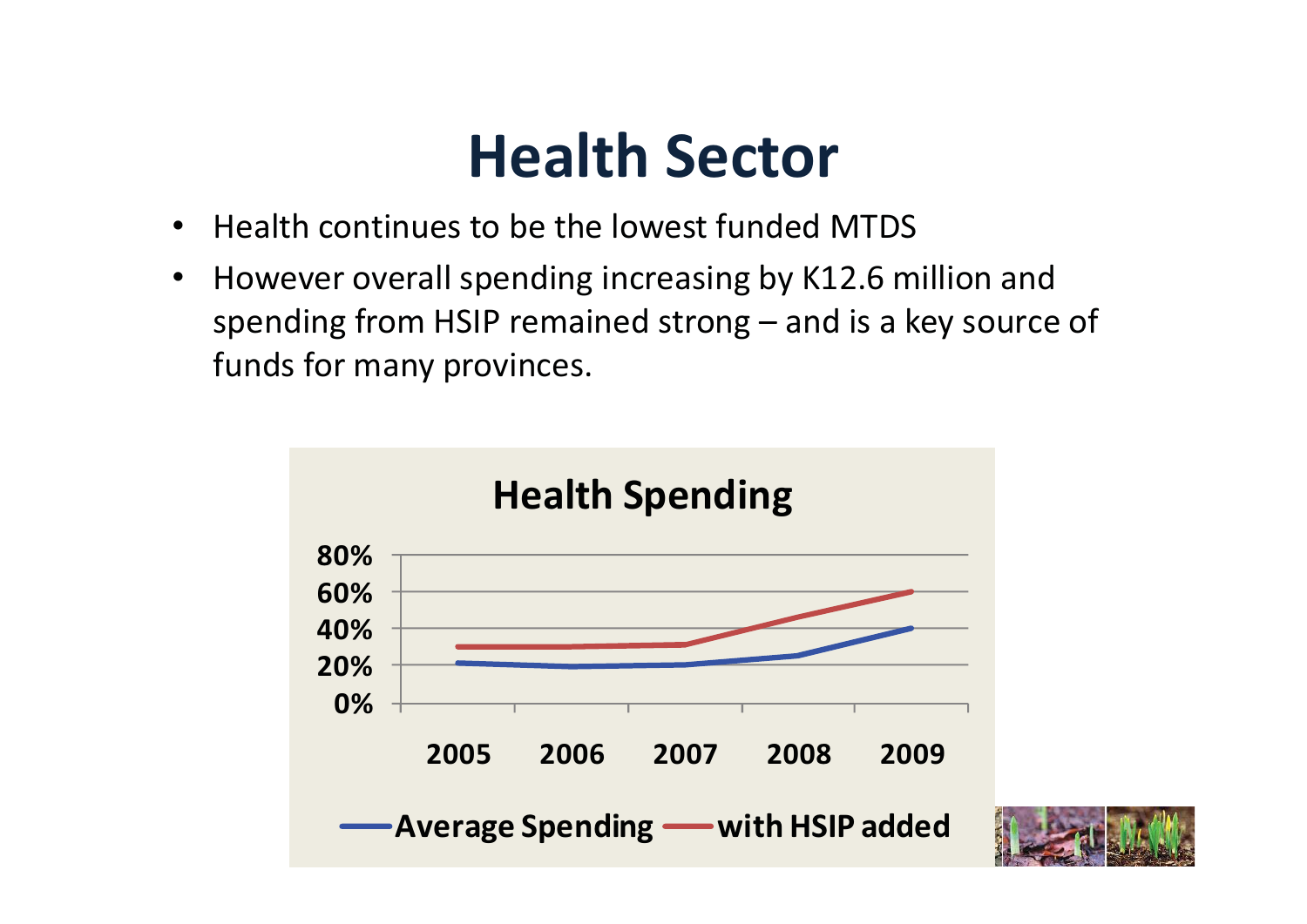### **Health Sector**

- •Health continues to be the lowest funded MTDS
- • However overall spending increasing by K12.6 million and spending from HSIP remained strong – and is a key source of funds for many provinces.



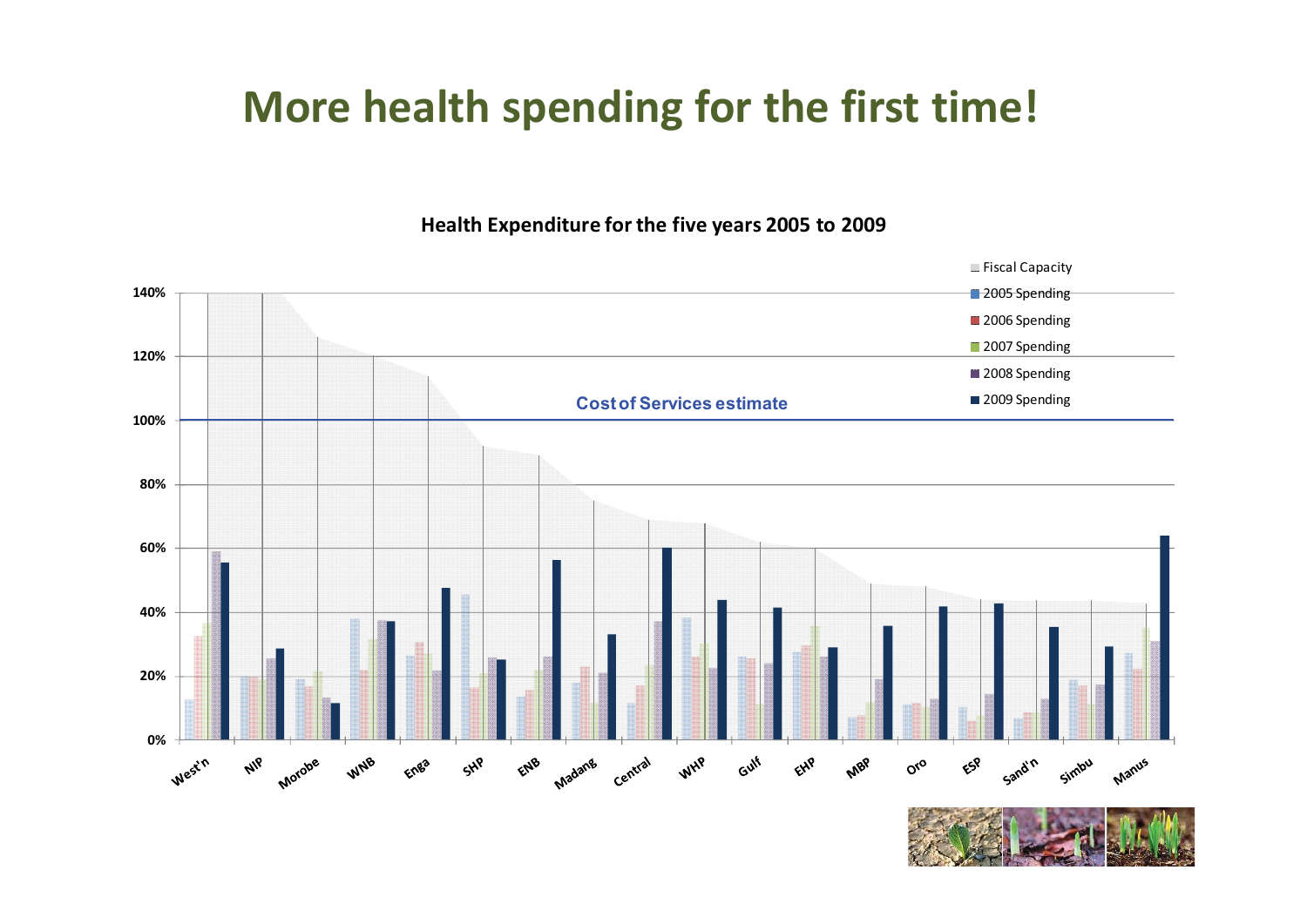### **More health spending for the first time!**

**Health Expenditure for the five years 2005 to 2009**



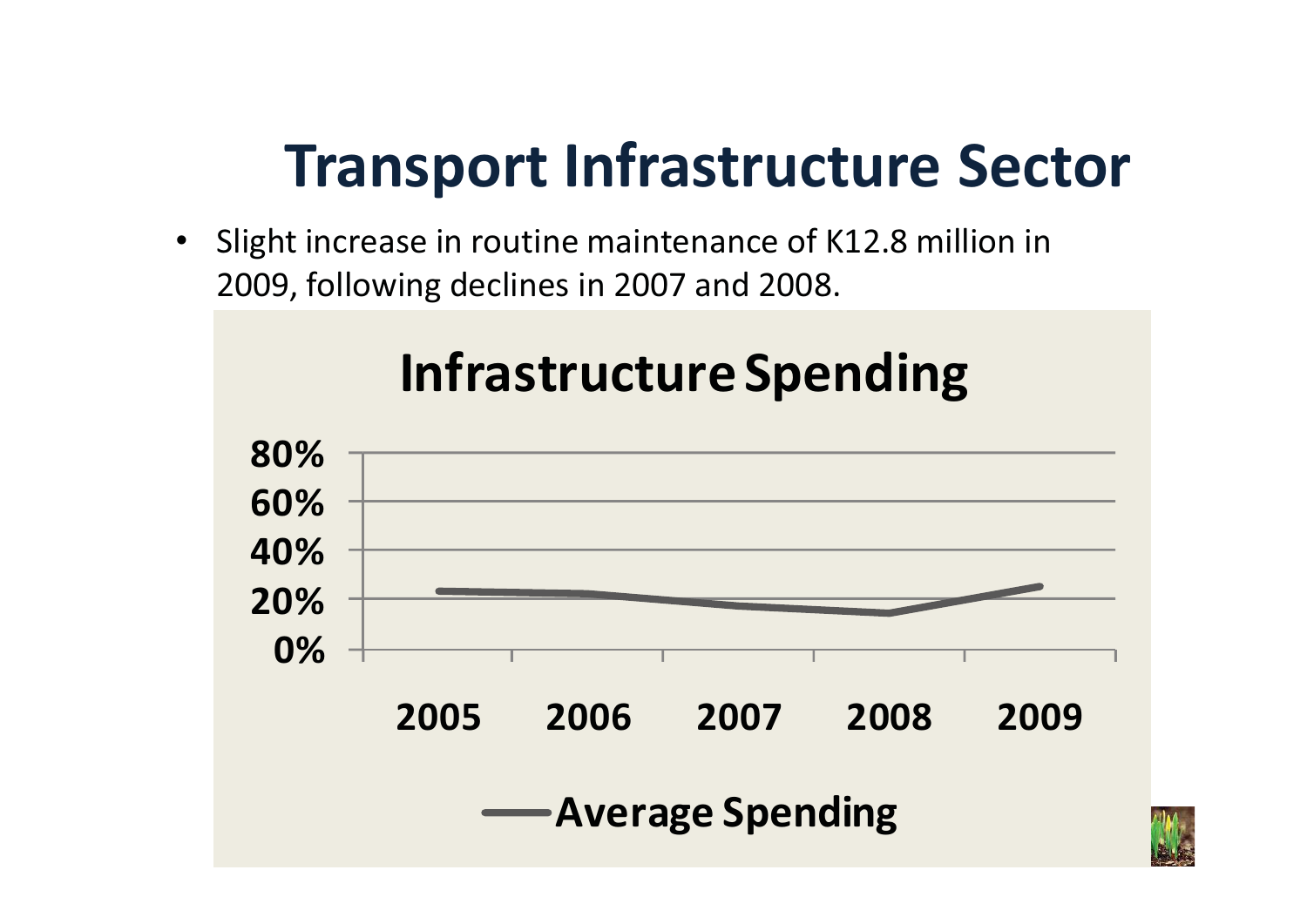### **Transport Infrastructure Sector**

• Slight increase in routine maintenance of K12.8 million in 2009, following declines in 2007 and 2008.



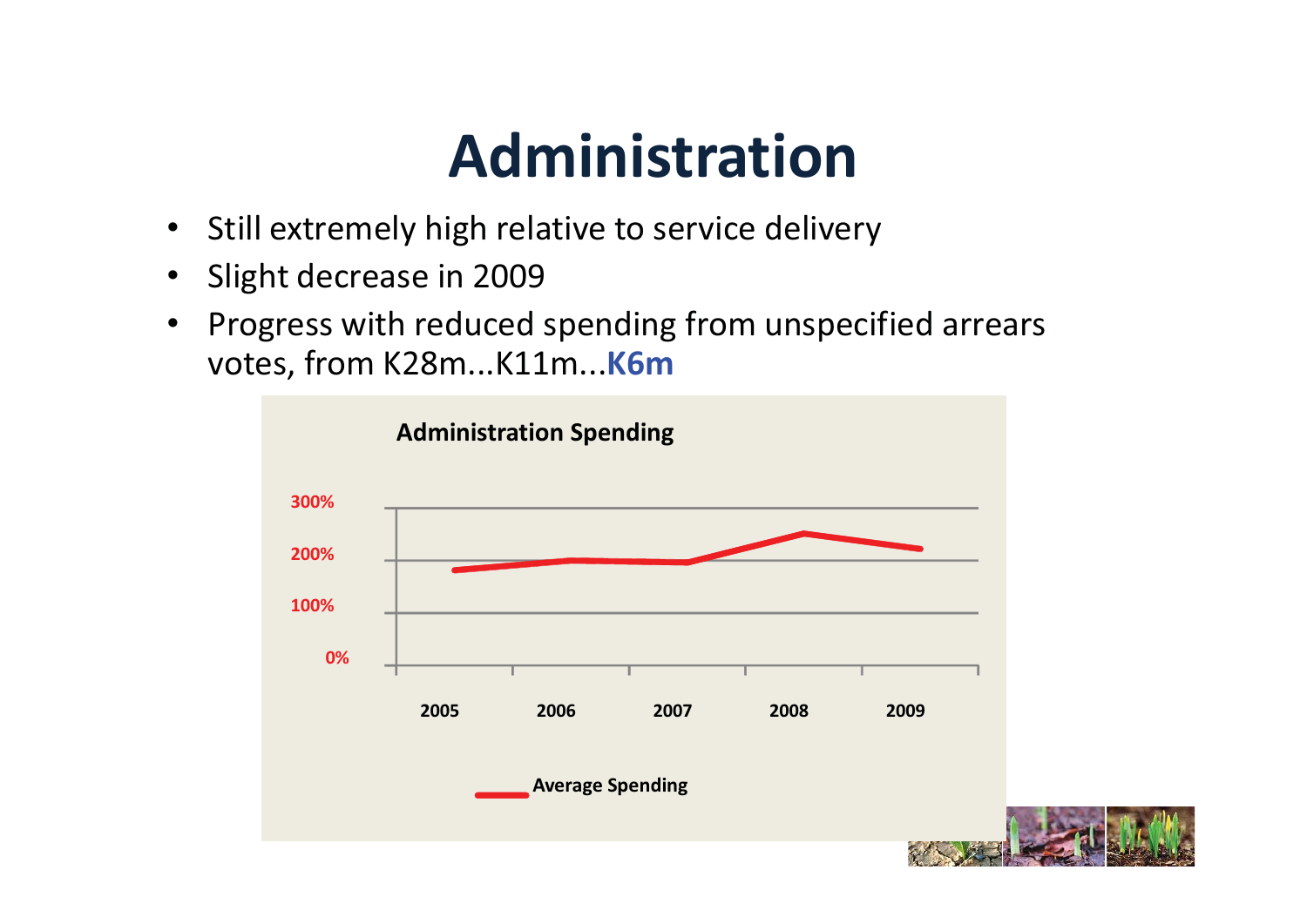### **Administration**

- •Still extremely high relative to service delivery
- •Slight decrease in 2009
- • Progress with reduced spending from unspecified arrears votes, from K28m...K11m...**K6m**

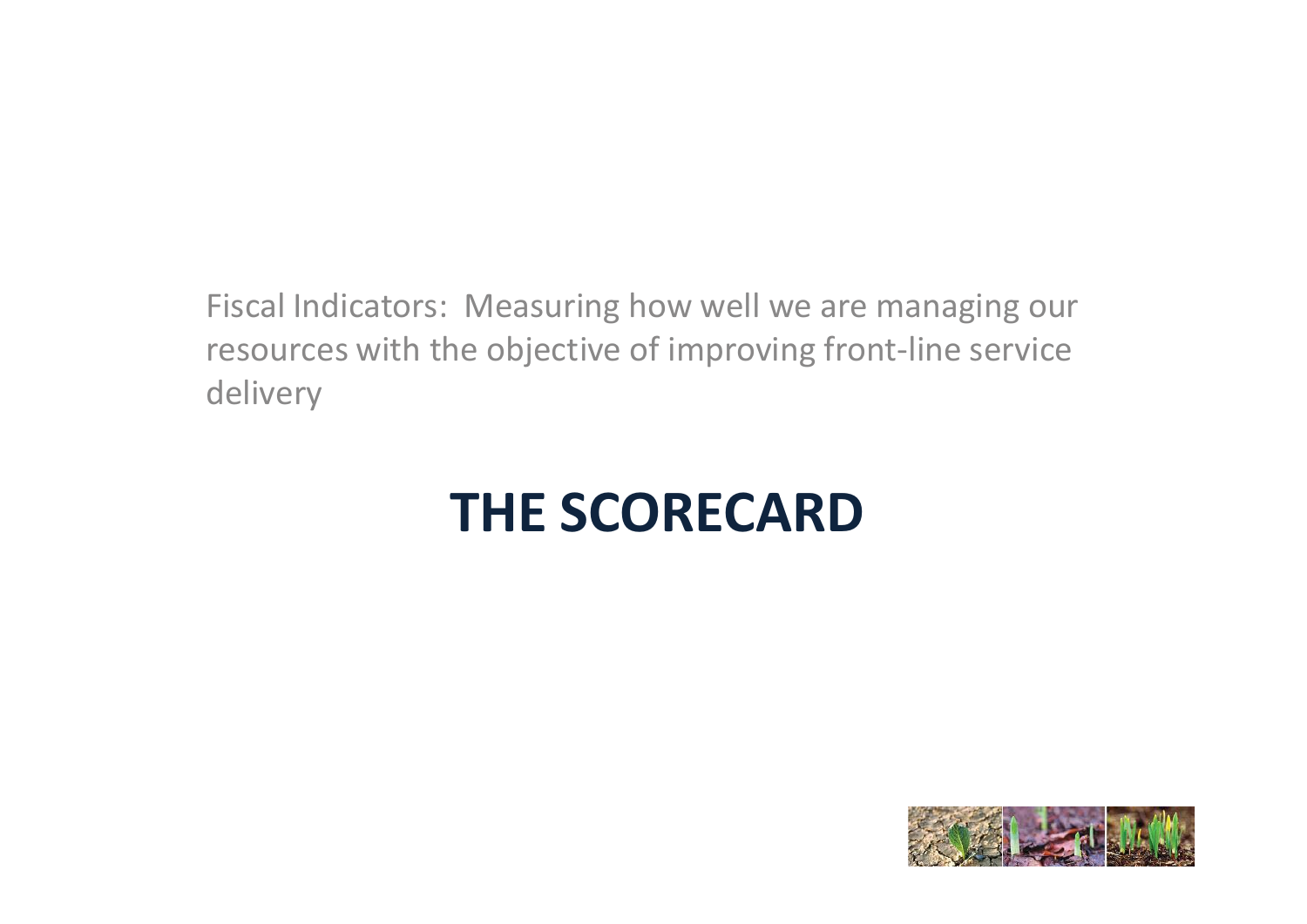Fiscal Indicators: Measuring how well we are managing our resources with the objective of improving front-line service delivery

### **THE SCORECARD**

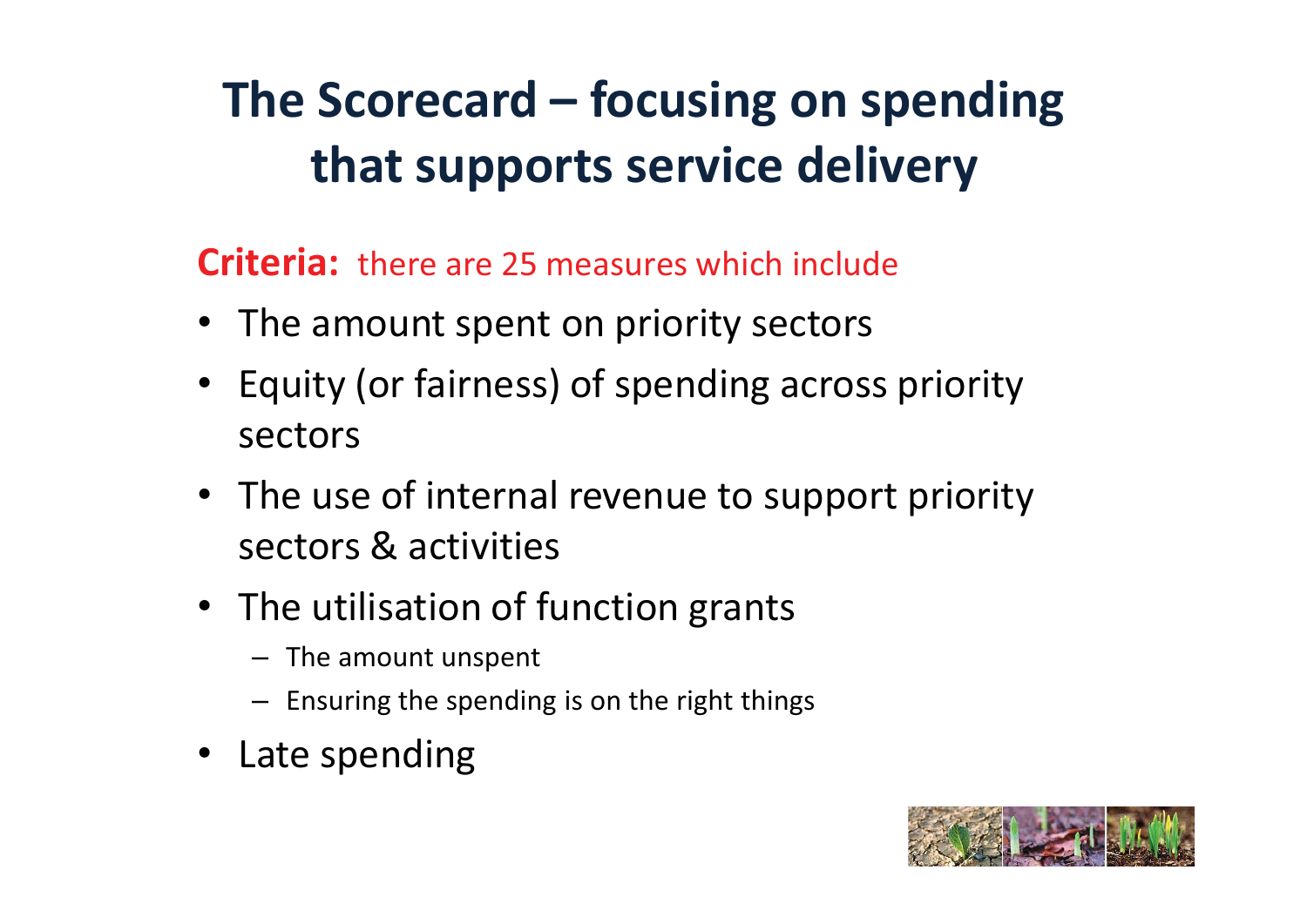### **The Scorecard – focusing on spending that supports service delivery**

**Criteria:** there are 25 measures which include

- The amount spent on priority sectors
- Equity (or fairness) of spending across priority sectors
- The use of internal revenue to support priority sectors & activities
- The utilisation of function grants
	- The amount unspent
	- Ensuring the spending is on the right things
- Late spending

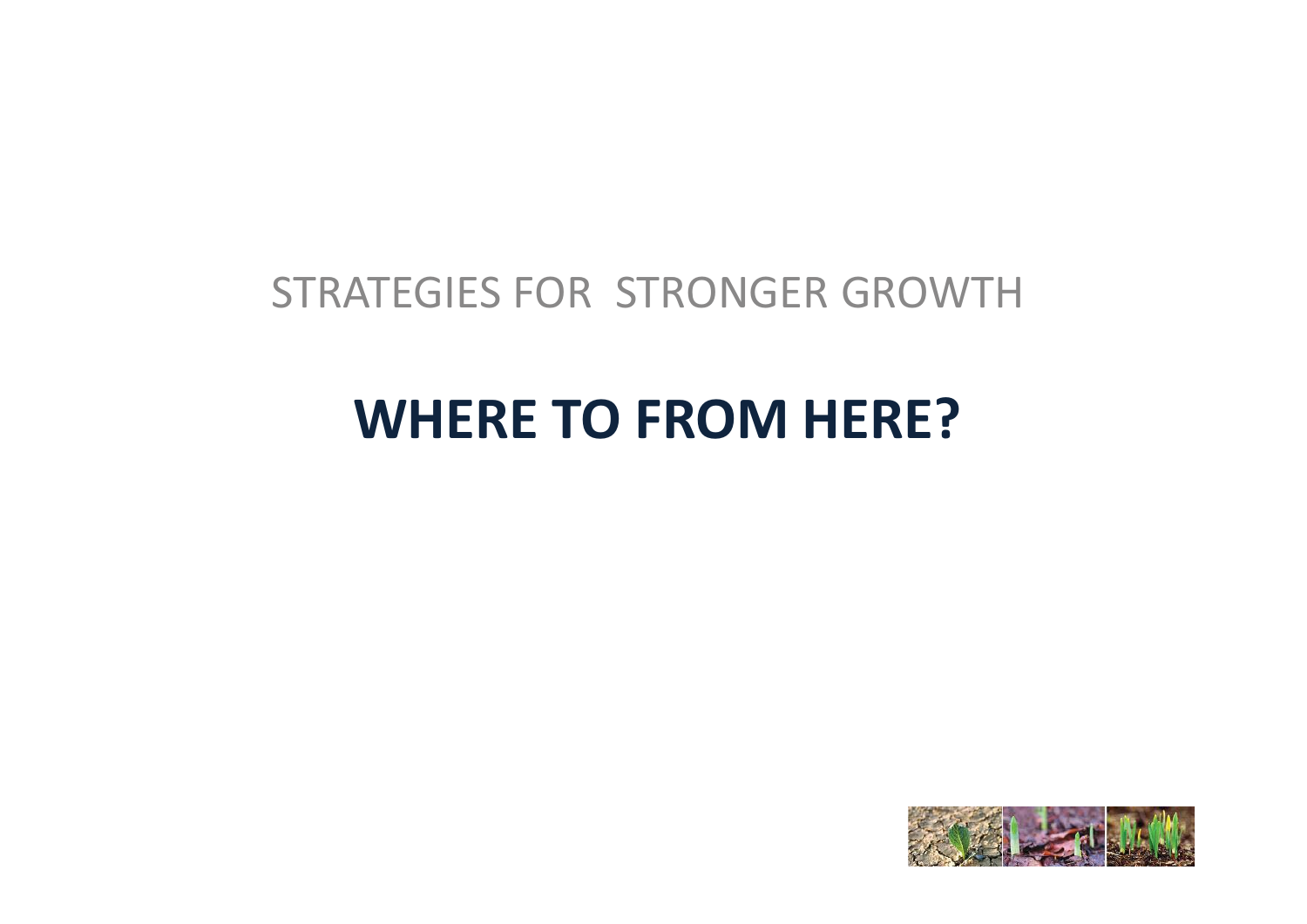### STRATEGIES FOR STRONGER GROWTH

### **WHERE TO FROM HERE?**

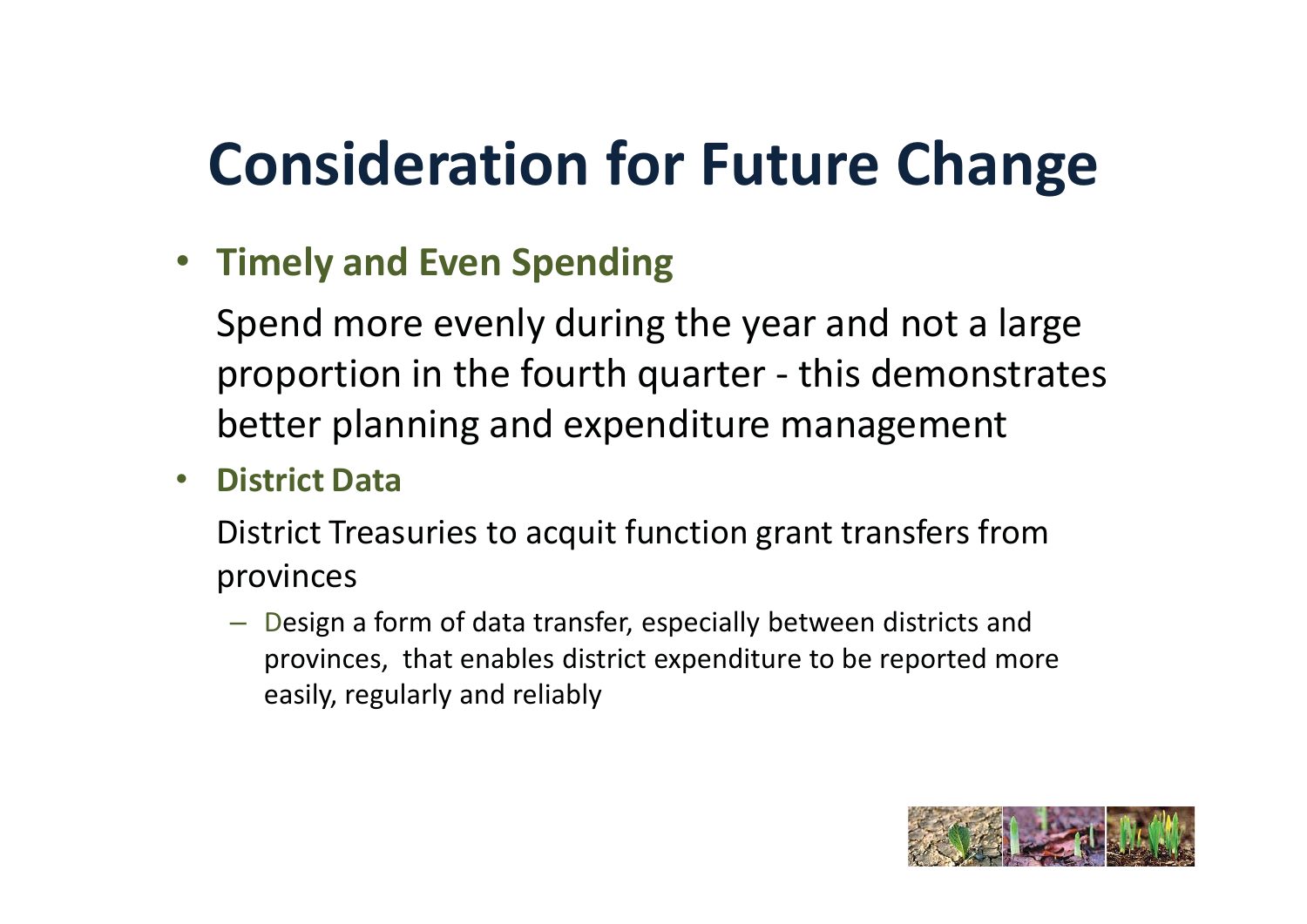## **Consideration for Future Change**

#### • **Timely and Even Spending**

Spend more evenly during the year and not a large proportion in the fourth quarter - this demonstrates better planning and expenditure management

•**District Data** 

> District Treasuries to acquit function grant transfers from provinces

– Design a form of data transfer, especially between districts and provinces, that enables district expenditure to be reported more easily, regularly and reliably

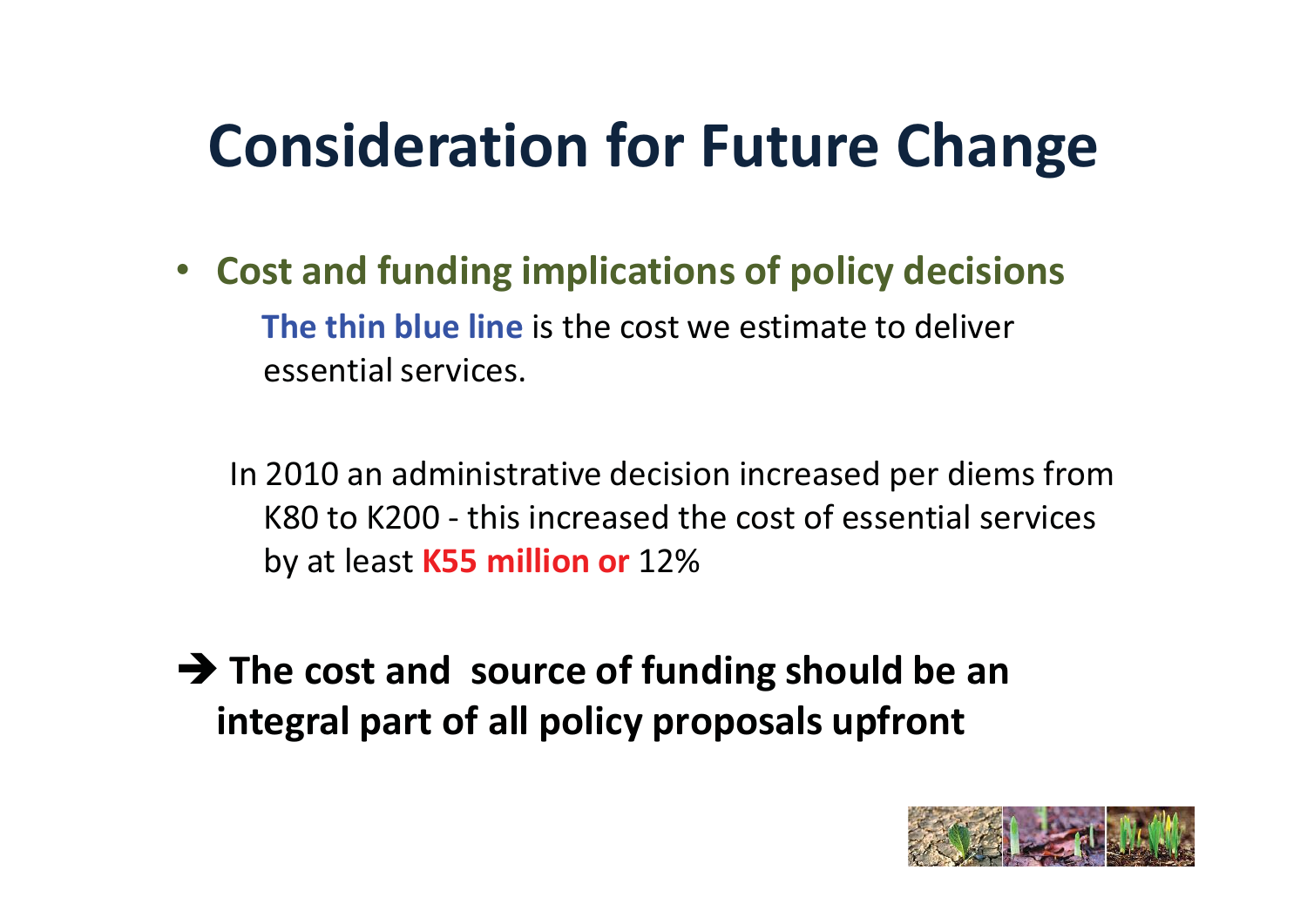### **Consideration for Future Change**

• **Cost and funding implications of policy decisions The thin blue line** is the cost we estimate to deliver essential services.

In 2010 an administrative decision increased per diems from K80 to K200 - this increased the cost of essential services by at least **K55 million or** 12%

- **The cost and source of funding should be an integral part of all policy proposals upfront**

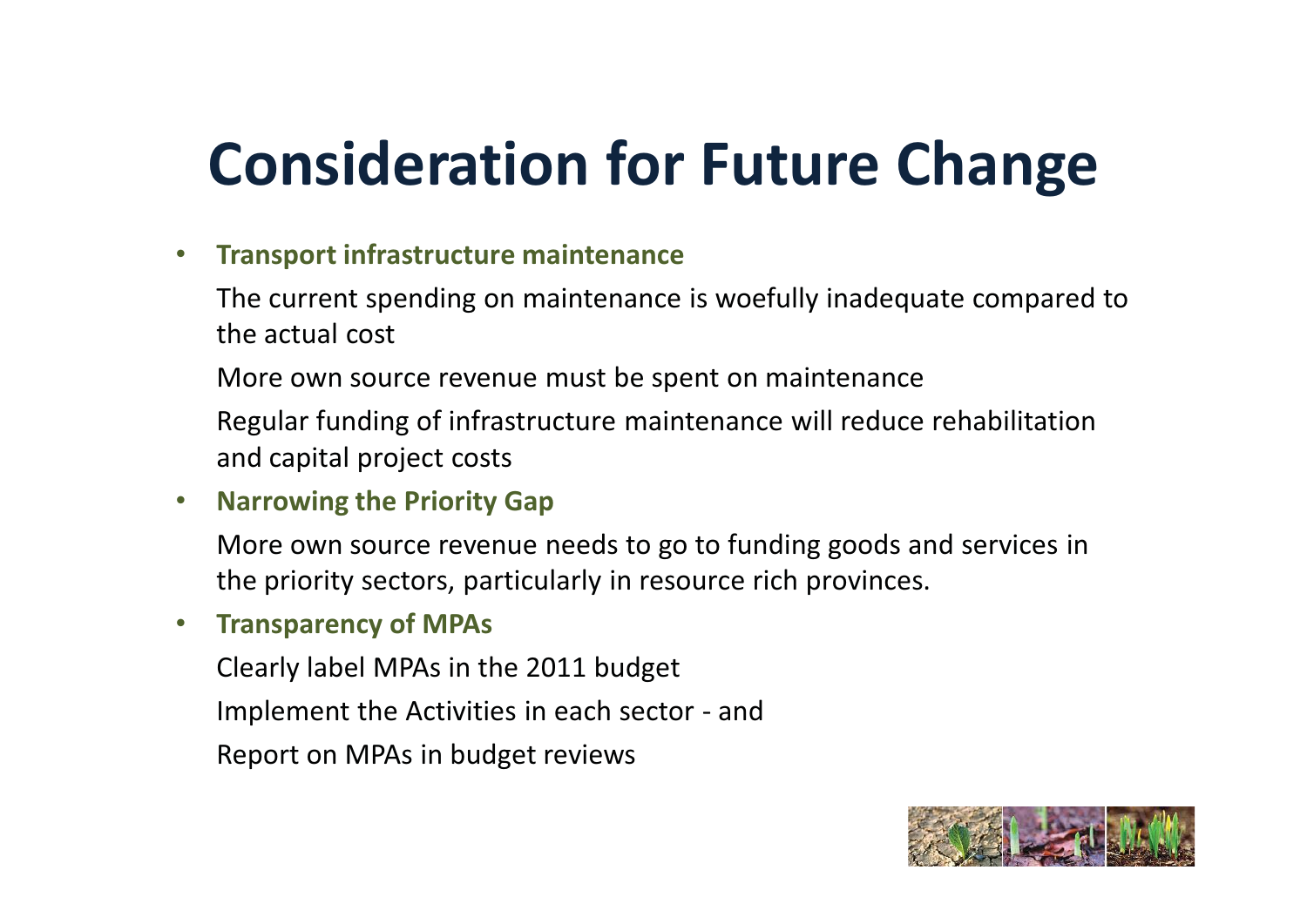## **Consideration for Future Change**

#### •**Transport infrastructure maintenance**

- The current spending on maintenance is woefully inadequate compared to the actual cost
- More own source revenue must be spent on maintenance
- Regular funding of infrastructure maintenance will reduce rehabilitation and capital project costs
- • **Narrowing the Priority Gap** 
	- More own source revenue needs to go to funding goods and services in the priority sectors, particularly in resource rich provinces.
- • **Transparency of MPAs** 
	- Clearly label MPAs in the 2011 budget Implement the Activities in each sector - and Report on MPAs in budget reviews